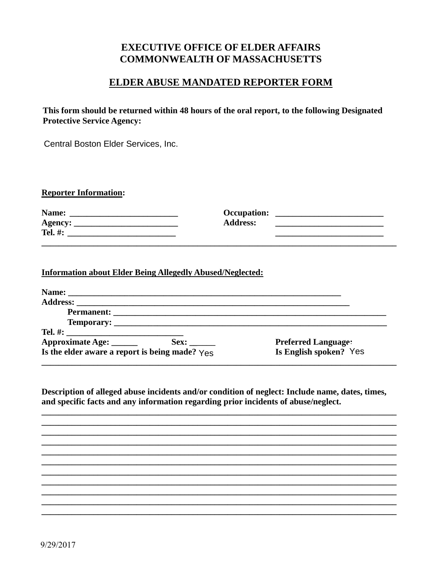## **EXECUTIVE OFFICE OF ELDER AFFAIRS COMMONWEALTH OF MASSACHUSETTS**

## ELDER ABUSE MANDATED REPORTER FORM

This form should be returned within 48 hours of the oral report, to the following Designated **Protective Service Agency:** 

Central Boston Elder Services, Inc.

| <b>Reporter Information:</b> |
|------------------------------|
|                              |

| Name:          | <b>Occupation:</b> |  |
|----------------|--------------------|--|
| <b>Agency:</b> | <b>Address:</b>    |  |
| Tel. #:        |                    |  |

## **Information about Elder Being Allegedly Abused/Neglected:**

| Approximate Age: ______                                    | Sex: | <b>Preferred Language:</b> |
|------------------------------------------------------------|------|----------------------------|
| Is the elder aware a report is being made? $Y_{\text{ES}}$ |      | Is English spoken? Yes     |

Description of alleged abuse incidents and/or condition of neglect: Include name, dates, times, and specific facts and any information regarding prior incidents of abuse/neglect.

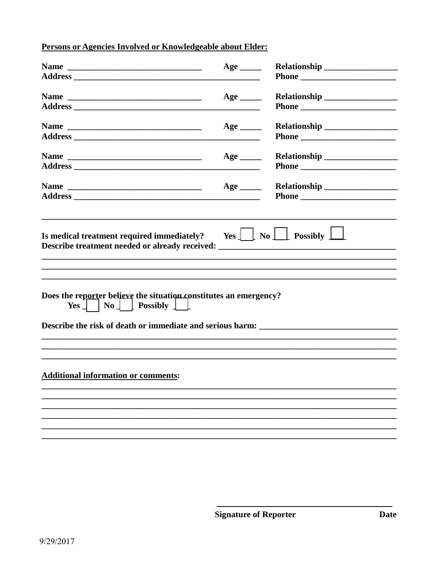Persons or Agencies Involved or Knowledgeable about Elder:

|                                                                                                                                                                                                                                                                                       | $Age$ <sub>________</sub>            |  |  |  |  |
|---------------------------------------------------------------------------------------------------------------------------------------------------------------------------------------------------------------------------------------------------------------------------------------|--------------------------------------|--|--|--|--|
|                                                                                                                                                                                                                                                                                       |                                      |  |  |  |  |
|                                                                                                                                                                                                                                                                                       | $Age \_$                             |  |  |  |  |
|                                                                                                                                                                                                                                                                                       | $Age \_$<br>$\overline{\phantom{a}}$ |  |  |  |  |
|                                                                                                                                                                                                                                                                                       | $Age \_$<br>$\overline{\phantom{a}}$ |  |  |  |  |
|                                                                                                                                                                                                                                                                                       | $Age \_\_$                           |  |  |  |  |
| Is medical treatment required immediately? Yes $\boxed{\phantom{a}}$ No $\boxed{\phantom{a}}$ Possibly $\boxed{\phantom{a}}$<br>Describe treatment needed or already received: _________________________________<br>Does the reporter believe the situation constitutes an emergency? |                                      |  |  |  |  |
| $Yes \perp \mid No \perp \text{Possibly } \perp \perp$<br>Describe the risk of death or immediate and serious harm: _______________________                                                                                                                                           |                                      |  |  |  |  |
|                                                                                                                                                                                                                                                                                       |                                      |  |  |  |  |
| <b>Additional information or comments:</b>                                                                                                                                                                                                                                            |                                      |  |  |  |  |
|                                                                                                                                                                                                                                                                                       |                                      |  |  |  |  |
|                                                                                                                                                                                                                                                                                       |                                      |  |  |  |  |
|                                                                                                                                                                                                                                                                                       |                                      |  |  |  |  |
|                                                                                                                                                                                                                                                                                       |                                      |  |  |  |  |